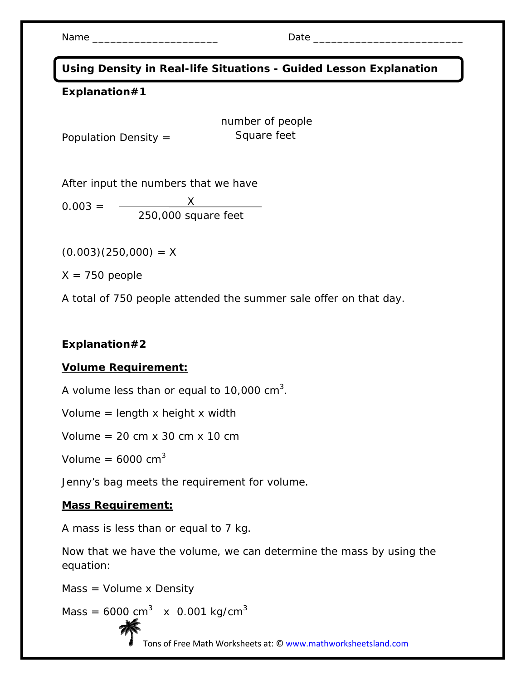Name \_\_\_\_\_\_\_\_\_\_\_\_\_\_\_\_\_\_\_\_\_ Date \_\_\_\_\_\_\_\_\_\_\_\_\_\_\_\_\_\_\_\_\_\_\_\_\_

**Using Density in Real-life Situations - Guided Lesson Explanation** 

### **Explanation#1**

number of people Square feet

Population Density =

After input the numbers that we have

 $0.003 =$ X 250,000 square feet

 $(0.003)(250,000) = X$ 

 $X = 750$  people

A total of 750 people attended the summer sale offer on that day.

### **Explanation#2**

### **Volume Requirement:**

A volume less than or equal to 10,000 cm<sup>3</sup>.

Volume  $=$  length x height x width

Volume =  $20 \text{ cm} \times 30 \text{ cm} \times 10 \text{ cm}$ 

Volume =  $6000 \text{ cm}^3$ 

Jenny's bag meets the requirement for volume.

#### **Mass Requirement:**

A mass is less than or equal to 7 kg.

Now that we have the volume, we can determine the mass by using the equation:

Mass = Volume x Density

Mass = 6000 cm<sup>3</sup> x 0.001 kg/cm<sup>3</sup>

Tons of Free Math Worksheets at: © www.mathworksheetsland.com